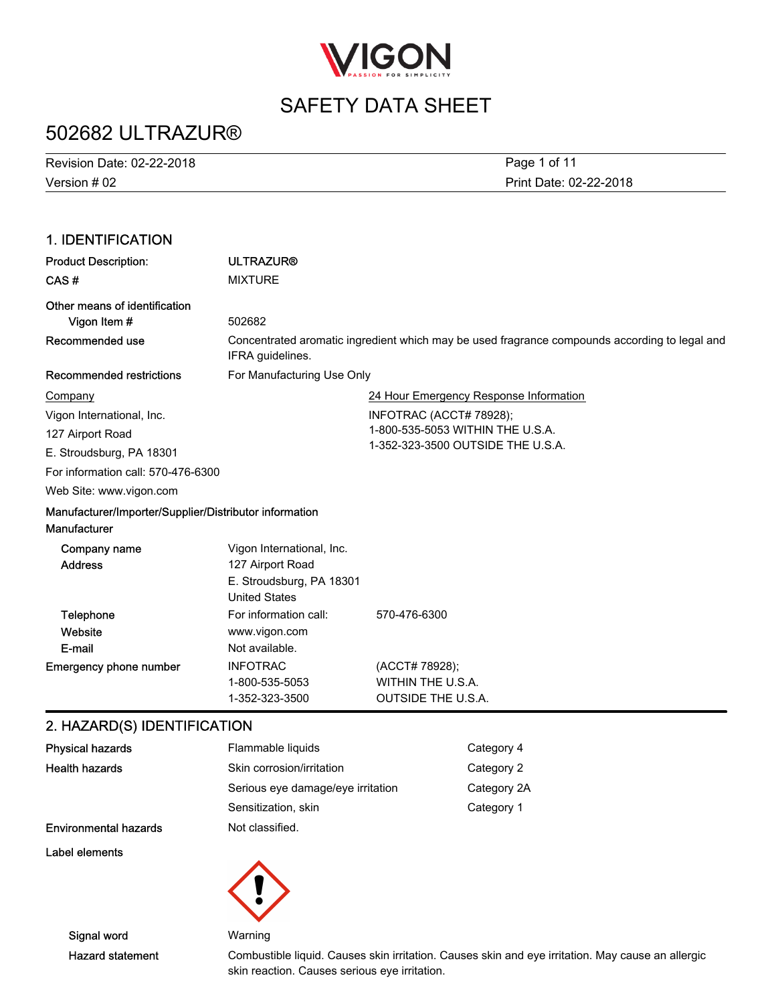

# 502682 ULTRAZUR®

| Revision Date: 02-22-2018 | Page 1 of 11           |
|---------------------------|------------------------|
| Version # 02              | Print Date: 02-22-2018 |

### 1. IDENTIFICATION

| <b>MIXTURE</b><br>502682                                                                          |                                                                                               |
|---------------------------------------------------------------------------------------------------|-----------------------------------------------------------------------------------------------|
|                                                                                                   |                                                                                               |
|                                                                                                   |                                                                                               |
| IFRA guidelines.                                                                                  | Concentrated aromatic ingredient which may be used fragrance compounds according to legal and |
| For Manufacturing Use Only                                                                        |                                                                                               |
|                                                                                                   | 24 Hour Emergency Response Information                                                        |
|                                                                                                   | INFOTRAC (ACCT# 78928);                                                                       |
|                                                                                                   | 1-800-535-5053 WITHIN THE U.S.A.                                                              |
|                                                                                                   | 1-352-323-3500 OUTSIDE THE U.S.A.                                                             |
| For information call: 570-476-6300                                                                |                                                                                               |
|                                                                                                   |                                                                                               |
| Manufacturer/Importer/Supplier/Distributor information                                            |                                                                                               |
| Vigon International, Inc.<br>127 Airport Road<br>E. Stroudsburg, PA 18301<br><b>United States</b> |                                                                                               |
| For information call:<br>www.vigon.com<br>Not available.                                          | 570-476-6300                                                                                  |
| <b>INFOTRAC</b><br>1-800-535-5053<br>1-352-323-3500                                               | (ACCT# 78928);<br>WITHIN THE U.S.A.<br><b>OUTSIDE THE U.S.A.</b>                              |
|                                                                                                   | <b>QUAZADDIO) IDENTIFICATIONI</b>                                                             |

### 2. HAZARD(S) IDENTIFICATION

| <b>Physical hazards</b>      | Flammable liquids                 | Category 4  |
|------------------------------|-----------------------------------|-------------|
| <b>Health hazards</b>        | Skin corrosion/irritation         | Category 2  |
|                              | Serious eye damage/eye irritation | Category 2A |
|                              | Sensitization, skin               | Category 1  |
| <b>Environmental hazards</b> | Not classified.                   |             |
| Label elements               |                                   |             |
|                              |                                   |             |



Hazard statement Combustible liquid. Causes skin irritation. Causes skin and eye irritation. May cause an allergic skin reaction. Causes serious eye irritation.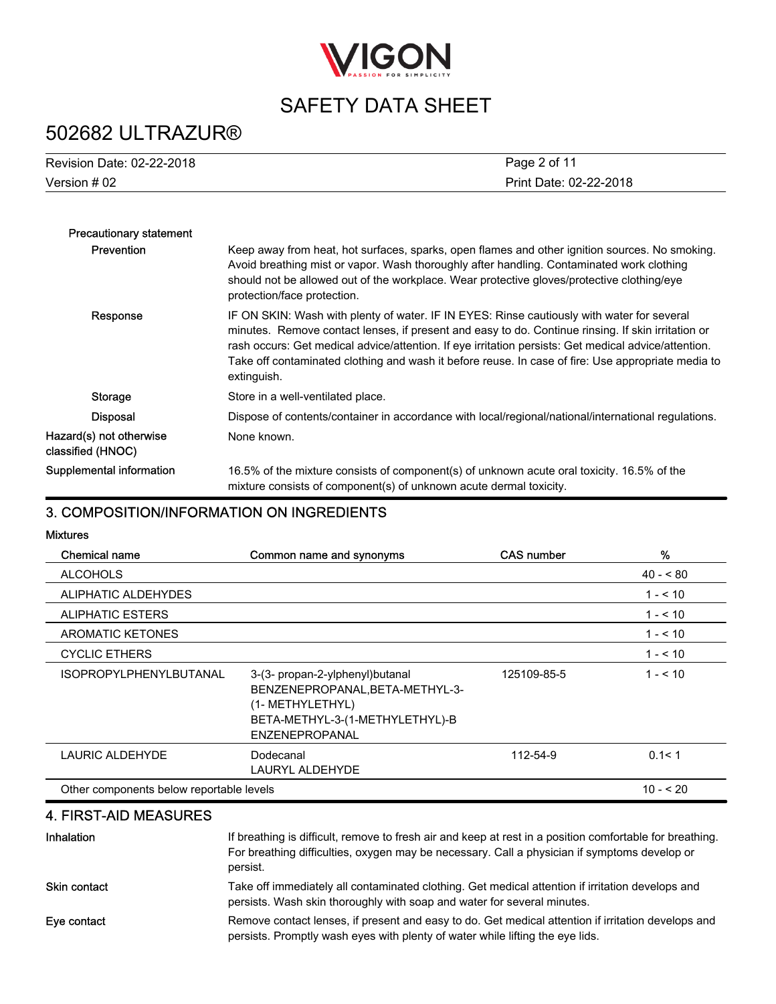

# 502682 ULTRAZUR®

| Revision Date: 02-22-2018 | Page 2 of 11           |
|---------------------------|------------------------|
| Version # 02              | Print Date: 02-22-2018 |

| <b>Precautionary statement</b>               |                                                                                                                                                                                                                                                                                                                                                                                                                               |
|----------------------------------------------|-------------------------------------------------------------------------------------------------------------------------------------------------------------------------------------------------------------------------------------------------------------------------------------------------------------------------------------------------------------------------------------------------------------------------------|
| <b>Prevention</b>                            | Keep away from heat, hot surfaces, sparks, open flames and other ignition sources. No smoking.<br>Avoid breathing mist or vapor. Wash thoroughly after handling. Contaminated work clothing<br>should not be allowed out of the workplace. Wear protective gloves/protective clothing/eye<br>protection/face protection.                                                                                                      |
| Response                                     | IF ON SKIN: Wash with plenty of water. IF IN EYES: Rinse cautiously with water for several<br>minutes. Remove contact lenses, if present and easy to do. Continue rinsing. If skin irritation or<br>rash occurs: Get medical advice/attention. If eye irritation persists: Get medical advice/attention.<br>Take off contaminated clothing and wash it before reuse. In case of fire: Use appropriate media to<br>extinguish. |
| Storage                                      | Store in a well-ventilated place.                                                                                                                                                                                                                                                                                                                                                                                             |
| <b>Disposal</b>                              | Dispose of contents/container in accordance with local/regional/national/international regulations.                                                                                                                                                                                                                                                                                                                           |
| Hazard(s) not otherwise<br>classified (HNOC) | None known.                                                                                                                                                                                                                                                                                                                                                                                                                   |
| Supplemental information                     | 16.5% of the mixture consists of component(s) of unknown acute oral toxicity. 16.5% of the<br>mixture consists of component(s) of unknown acute dermal toxicity.                                                                                                                                                                                                                                                              |

### 3. COMPOSITION/INFORMATION ON INGREDIENTS

Mixtures

| <b>Chemical name</b>                     | Common name and synonyms                                                                                                                     | <b>CAS number</b> | %          |
|------------------------------------------|----------------------------------------------------------------------------------------------------------------------------------------------|-------------------|------------|
| <b>ALCOHOLS</b>                          |                                                                                                                                              |                   | $40 - 80$  |
| ALIPHATIC ALDEHYDES                      |                                                                                                                                              |                   | $1 - 50$   |
| <b>ALIPHATIC ESTERS</b>                  |                                                                                                                                              |                   | $1 - 5.10$ |
| <b>AROMATIC KETONES</b>                  |                                                                                                                                              |                   | $1 - 5.10$ |
| <b>CYCLIC ETHERS</b>                     |                                                                                                                                              |                   | $1 - 510$  |
| <b>ISOPROPYLPHENYLBUTANAL</b>            | 3-(3- propan-2-ylphenyl) butanal<br>BENZENEPROPANAL, BETA-METHYL-3-<br>(1- METHYLETHYL)<br>BETA-METHYL-3-(1-METHYLETHYL)-B<br>ENZENEPROPANAL | 125109-85-5       | $1 - 5.10$ |
| LAURIC ALDEHYDE                          | Dodecanal<br>LAURYL ALDEHYDE                                                                                                                 | 112-54-9          | 0.1 < 1    |
| Other components below reportable levels |                                                                                                                                              |                   | $10 - 520$ |

### 4. FIRST-AID MEASURES

| Inhalation          | If breathing is difficult, remove to fresh air and keep at rest in a position comfortable for breathing.<br>For breathing difficulties, oxygen may be necessary. Call a physician if symptoms develop or<br>persist. |
|---------------------|----------------------------------------------------------------------------------------------------------------------------------------------------------------------------------------------------------------------|
| <b>Skin contact</b> | Take off immediately all contaminated clothing. Get medical attention if irritation develops and<br>persists. Wash skin thoroughly with soap and water for several minutes.                                          |
| Eye contact         | Remove contact lenses, if present and easy to do. Get medical attention if irritation develops and<br>persists. Promptly wash eyes with plenty of water while lifting the eye lids.                                  |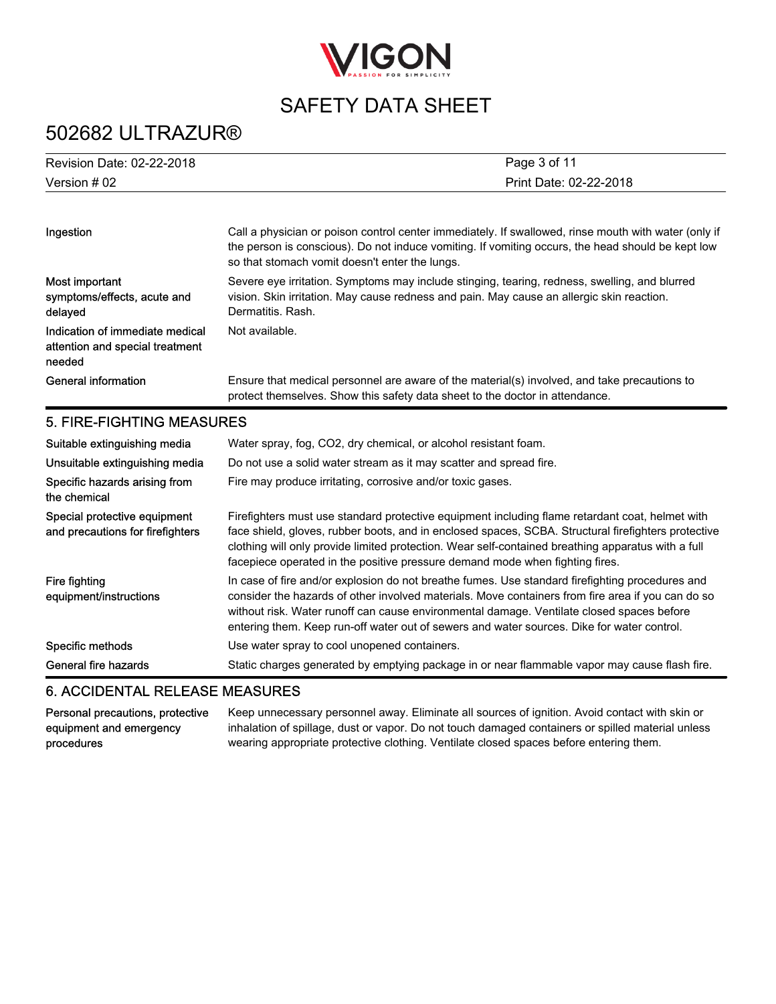

# 502682 ULTRAZUR®

| Revision Date: 02-22-2018 | Page 3 of 11           |
|---------------------------|------------------------|
| Version # 02              | Print Date: 02-22-2018 |

| Ingestion                                                                    | Call a physician or poison control center immediately. If swallowed, rinse mouth with water (only if<br>the person is conscious). Do not induce vomiting. If vomiting occurs, the head should be kept low<br>so that stomach vomit doesn't enter the lungs.                                                                                                                                     |
|------------------------------------------------------------------------------|-------------------------------------------------------------------------------------------------------------------------------------------------------------------------------------------------------------------------------------------------------------------------------------------------------------------------------------------------------------------------------------------------|
| Most important<br>symptoms/effects, acute and<br>delayed                     | Severe eye irritation. Symptoms may include stinging, tearing, redness, swelling, and blurred<br>vision. Skin irritation. May cause redness and pain. May cause an allergic skin reaction.<br>Dermatitis, Rash.                                                                                                                                                                                 |
| Indication of immediate medical<br>attention and special treatment<br>needed | Not available.                                                                                                                                                                                                                                                                                                                                                                                  |
| <b>General information</b>                                                   | Ensure that medical personnel are aware of the material(s) involved, and take precautions to<br>protect themselves. Show this safety data sheet to the doctor in attendance.                                                                                                                                                                                                                    |
| 5. FIRE-FIGHTING MEASURES                                                    |                                                                                                                                                                                                                                                                                                                                                                                                 |
| Suitable extinguishing media                                                 | Water spray, fog, CO2, dry chemical, or alcohol resistant foam.                                                                                                                                                                                                                                                                                                                                 |
| Unsuitable extinguishing media                                               | Do not use a solid water stream as it may scatter and spread fire.                                                                                                                                                                                                                                                                                                                              |
| Specific hazards arising from<br>the chemical                                | Fire may produce irritating, corrosive and/or toxic gases.                                                                                                                                                                                                                                                                                                                                      |
| Special protective equipment<br>and precautions for firefighters             | Firefighters must use standard protective equipment including flame retardant coat, helmet with<br>face shield, gloves, rubber boots, and in enclosed spaces, SCBA. Structural firefighters protective<br>clothing will only provide limited protection. Wear self-contained breathing apparatus with a full<br>facepiece operated in the positive pressure demand mode when fighting fires.    |
| Fire fighting<br>equipment/instructions                                      | In case of fire and/or explosion do not breathe fumes. Use standard firefighting procedures and<br>consider the hazards of other involved materials. Move containers from fire area if you can do so<br>without risk. Water runoff can cause environmental damage. Ventilate closed spaces before<br>entering them. Keep run-off water out of sewers and water sources. Dike for water control. |
| Specific methods                                                             | Use water spray to cool unopened containers.                                                                                                                                                                                                                                                                                                                                                    |
| General fire hazards                                                         | Static charges generated by emptying package in or near flammable vapor may cause flash fire.                                                                                                                                                                                                                                                                                                   |

### 6. ACCIDENTAL RELEASE MEASURES

Personal precautions, protective equipment and emergency procedures

Keep unnecessary personnel away. Eliminate all sources of ignition. Avoid contact with skin or inhalation of spillage, dust or vapor. Do not touch damaged containers or spilled material unless wearing appropriate protective clothing. Ventilate closed spaces before entering them.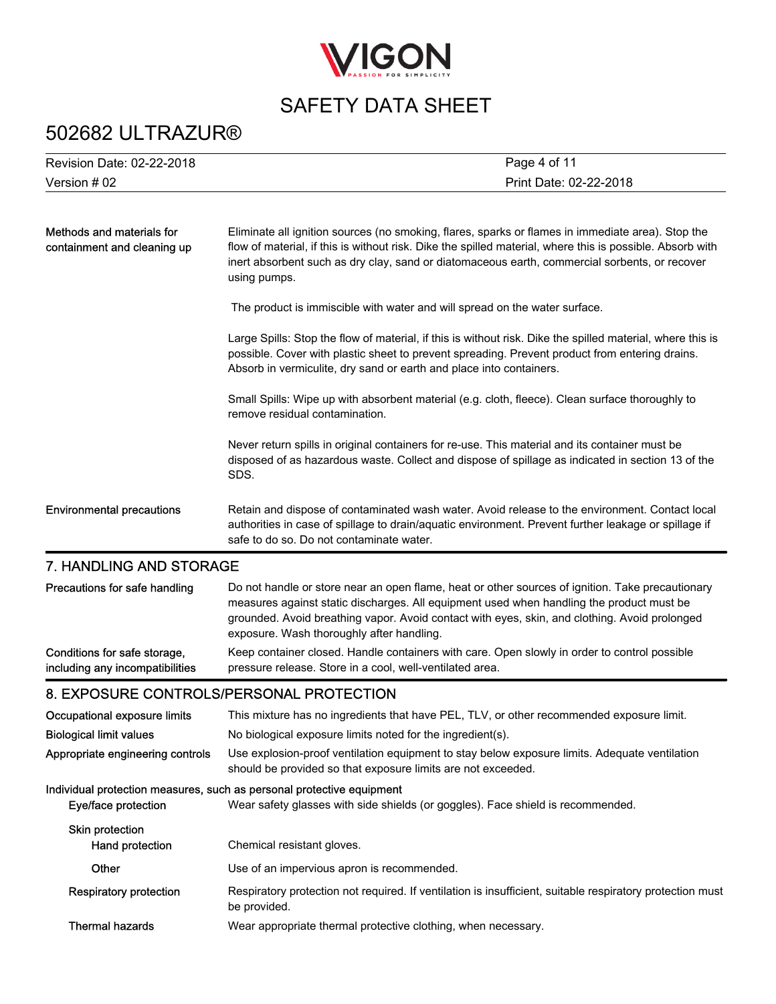

# 502682 ULTRAZUR®

| Revision Date: 02-22-2018                                       | Page 4 of 11                                                                                                                                                                                                                                                                                                                               |
|-----------------------------------------------------------------|--------------------------------------------------------------------------------------------------------------------------------------------------------------------------------------------------------------------------------------------------------------------------------------------------------------------------------------------|
| Version # 02                                                    | Print Date: 02-22-2018                                                                                                                                                                                                                                                                                                                     |
|                                                                 |                                                                                                                                                                                                                                                                                                                                            |
| Methods and materials for<br>containment and cleaning up        | Eliminate all ignition sources (no smoking, flares, sparks or flames in immediate area). Stop the<br>flow of material, if this is without risk. Dike the spilled material, where this is possible. Absorb with<br>inert absorbent such as dry clay, sand or diatomaceous earth, commercial sorbents, or recover<br>using pumps.            |
|                                                                 | The product is immiscible with water and will spread on the water surface.                                                                                                                                                                                                                                                                 |
|                                                                 | Large Spills: Stop the flow of material, if this is without risk. Dike the spilled material, where this is<br>possible. Cover with plastic sheet to prevent spreading. Prevent product from entering drains.<br>Absorb in vermiculite, dry sand or earth and place into containers.                                                        |
|                                                                 | Small Spills: Wipe up with absorbent material (e.g. cloth, fleece). Clean surface thoroughly to<br>remove residual contamination.                                                                                                                                                                                                          |
|                                                                 | Never return spills in original containers for re-use. This material and its container must be<br>disposed of as hazardous waste. Collect and dispose of spillage as indicated in section 13 of the<br>SDS.                                                                                                                                |
| <b>Environmental precautions</b>                                | Retain and dispose of contaminated wash water. Avoid release to the environment. Contact local<br>authorities in case of spillage to drain/aquatic environment. Prevent further leakage or spillage if<br>safe to do so. Do not contaminate water.                                                                                         |
| 7. HANDLING AND STORAGE                                         |                                                                                                                                                                                                                                                                                                                                            |
| Precautions for safe handling                                   | Do not handle or store near an open flame, heat or other sources of ignition. Take precautionary<br>measures against static discharges. All equipment used when handling the product must be<br>grounded. Avoid breathing vapor. Avoid contact with eyes, skin, and clothing. Avoid prolonged<br>exposure. Wash thoroughly after handling. |
| Conditions for safe storage,<br>including any incompatibilities | Keep container closed. Handle containers with care. Open slowly in order to control possible<br>pressure release. Store in a cool, well-ventilated area.                                                                                                                                                                                   |
| 8. EXPOSURE CONTROLS/PERSONAL PROTECTION                        |                                                                                                                                                                                                                                                                                                                                            |
| Occupational exposure limits                                    | This mixture has no ingredients that have PEL, TLV, or other recommended exposure limit.                                                                                                                                                                                                                                                   |
| <b>Biological limit values</b>                                  | No biological exposure limits noted for the ingredient(s).                                                                                                                                                                                                                                                                                 |
| Appropriate engineering controls                                | Use explosion-proof ventilation equipment to stay below exposure limits. Adequate ventilation<br>should be provided so that exposure limits are not exceeded.                                                                                                                                                                              |
| Eye/face protection                                             | Individual protection measures, such as personal protective equipment<br>Wear safety glasses with side shields (or goggles). Face shield is recommended.                                                                                                                                                                                   |
| <b>Skin protection</b><br>Hand protection                       | Chemical resistant gloves.                                                                                                                                                                                                                                                                                                                 |
| Other                                                           | Use of an impervious apron is recommended.                                                                                                                                                                                                                                                                                                 |
| <b>Respiratory protection</b>                                   | Respiratory protection not required. If ventilation is insufficient, suitable respiratory protection must<br>be provided.                                                                                                                                                                                                                  |
| <b>Thermal hazards</b>                                          | Wear appropriate thermal protective clothing, when necessary.                                                                                                                                                                                                                                                                              |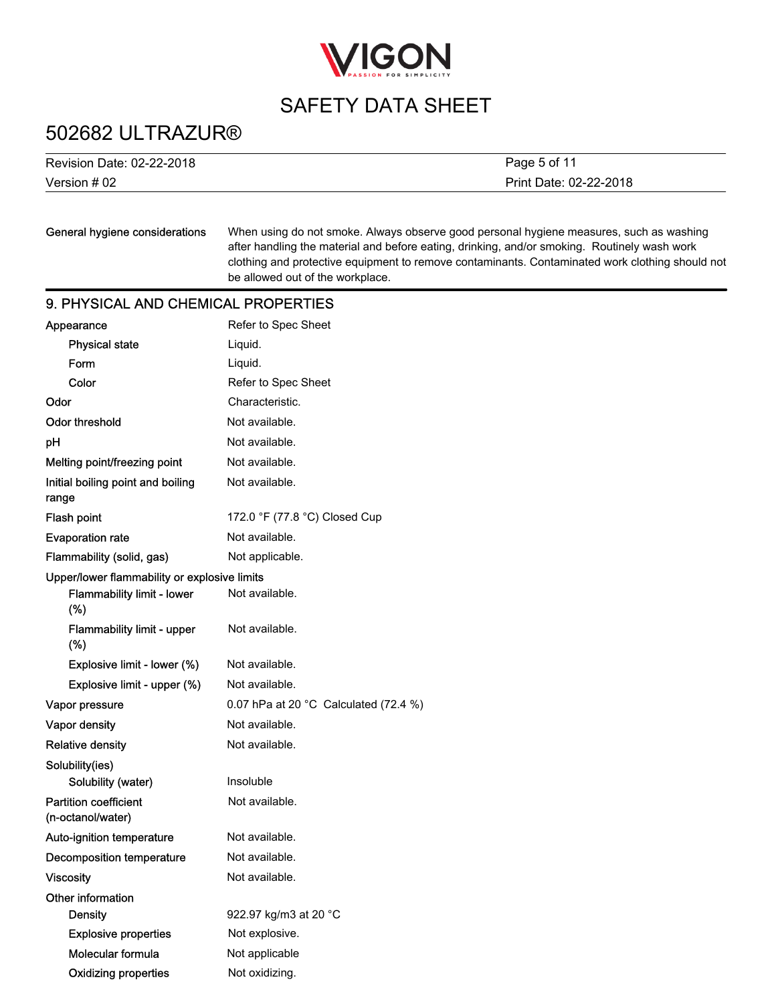

### 502682 ULTRAZUR®

| Revision Date: 02-22-2018 |  |
|---------------------------|--|
| Version $#02$             |  |

Print Date: 02-22-2018 Page 5 of 11

### General hygiene considerations

When using do not smoke. Always observe good personal hygiene measures, such as washing after handling the material and before eating, drinking, and/or smoking. Routinely wash work clothing and protective equipment to remove contaminants. Contaminated work clothing should not be allowed out of the workplace.

### 9. PHYSICAL AND CHEMICAL PROPERTIES

| Appearance                                        | Refer to Spec Sheet                             |
|---------------------------------------------------|-------------------------------------------------|
| <b>Physical state</b>                             | Liquid.                                         |
| Form                                              | Liquid.                                         |
| Color                                             | Refer to Spec Sheet                             |
| Odor                                              | Characteristic.                                 |
| <b>Odor threshold</b>                             | Not available.                                  |
| pН                                                | Not available.                                  |
| Melting point/freezing point                      | Not available.                                  |
| Initial boiling point and boiling<br>range        | Not available.                                  |
| Flash point                                       | 172.0 °F (77.8 °C) Closed Cup                   |
| <b>Evaporation rate</b>                           | Not available.                                  |
| Flammability (solid, gas)                         | Not applicable.                                 |
| Upper/lower flammability or explosive limits      |                                                 |
| <b>Flammability limit - lower</b><br>(%)          | Not available.                                  |
| Flammability limit - upper<br>(%)                 | Not available.                                  |
| Explosive limit - lower (%)                       | Not available.                                  |
| Explosive limit - upper (%)                       | Not available.                                  |
| Vapor pressure                                    | 0.07 hPa at 20 $^{\circ}$ C Calculated (72.4 %) |
| Vapor density                                     | Not available.                                  |
| <b>Relative density</b>                           | Not available.                                  |
| Solubility(ies)                                   |                                                 |
| Solubility (water)                                | Insoluble                                       |
| <b>Partition coefficient</b><br>(n-octanol/water) | Not available.                                  |
| Auto-ignition temperature                         | Not available.                                  |
| <b>Decomposition temperature</b>                  | Not available.                                  |
| Viscosity                                         | Not available.                                  |
| Other information                                 |                                                 |
| Density                                           | 922.97 kg/m3 at 20 °C                           |
| <b>Explosive properties</b>                       | Not explosive.                                  |
| Molecular formula                                 | Not applicable                                  |
| <b>Oxidizing properties</b>                       | Not oxidizing.                                  |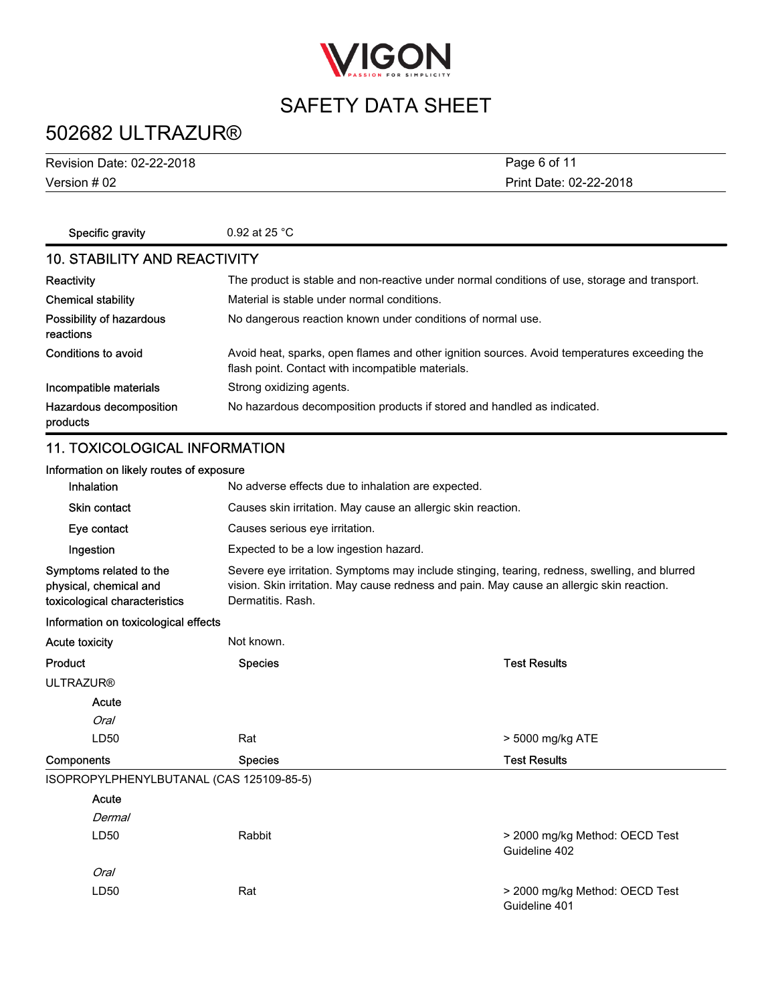

# 502682 ULTRAZUR®

Version # 02 Revision Date: 02-22-2018 Print Date: 02-22-2018 Page 6 of 11

| Specific gravity                      | 0.92 at 25 $^{\circ}$ C                                                                                                                           |  |  |
|---------------------------------------|---------------------------------------------------------------------------------------------------------------------------------------------------|--|--|
| <b>10. STABILITY AND REACTIVITY</b>   |                                                                                                                                                   |  |  |
| Reactivity                            | The product is stable and non-reactive under normal conditions of use, storage and transport.                                                     |  |  |
| <b>Chemical stability</b>             | Material is stable under normal conditions.                                                                                                       |  |  |
| Possibility of hazardous<br>reactions | No dangerous reaction known under conditions of normal use.                                                                                       |  |  |
| Conditions to avoid                   | Avoid heat, sparks, open flames and other ignition sources. Avoid temperatures exceeding the<br>flash point. Contact with incompatible materials. |  |  |
| Incompatible materials                | Strong oxidizing agents.                                                                                                                          |  |  |
| Hazardous decomposition<br>products   | No hazardous decomposition products if stored and handled as indicated.                                                                           |  |  |

### 11. TOXICOLOGICAL INFORMATION

| Information on likely routes of exposure                                           |                                                                                                                                                                                                                 |                                                              |  |  |
|------------------------------------------------------------------------------------|-----------------------------------------------------------------------------------------------------------------------------------------------------------------------------------------------------------------|--------------------------------------------------------------|--|--|
| Inhalation                                                                         |                                                                                                                                                                                                                 | No adverse effects due to inhalation are expected.           |  |  |
| <b>Skin contact</b>                                                                |                                                                                                                                                                                                                 | Causes skin irritation. May cause an allergic skin reaction. |  |  |
| Eye contact                                                                        |                                                                                                                                                                                                                 | Causes serious eye irritation.                               |  |  |
| Ingestion                                                                          | Expected to be a low ingestion hazard.                                                                                                                                                                          |                                                              |  |  |
| Symptoms related to the<br>physical, chemical and<br>toxicological characteristics | Severe eye irritation. Symptoms may include stinging, tearing, redness, swelling, and blurred<br>vision. Skin irritation. May cause redness and pain. May cause an allergic skin reaction.<br>Dermatitis, Rash. |                                                              |  |  |
| Information on toxicological effects                                               |                                                                                                                                                                                                                 |                                                              |  |  |
| Acute toxicity                                                                     | Not known.                                                                                                                                                                                                      |                                                              |  |  |
| Product                                                                            | <b>Species</b>                                                                                                                                                                                                  | <b>Test Results</b>                                          |  |  |
| <b>ULTRAZUR®</b>                                                                   |                                                                                                                                                                                                                 |                                                              |  |  |
| Acute                                                                              |                                                                                                                                                                                                                 |                                                              |  |  |
| <b>Oral</b>                                                                        |                                                                                                                                                                                                                 |                                                              |  |  |
| LD50                                                                               | Rat                                                                                                                                                                                                             | > 5000 mg/kg ATE                                             |  |  |
| Components                                                                         | <b>Species</b>                                                                                                                                                                                                  | <b>Test Results</b>                                          |  |  |
| ISOPROPYLPHENYLBUTANAL (CAS 125109-85-5)                                           |                                                                                                                                                                                                                 |                                                              |  |  |
| Acute                                                                              |                                                                                                                                                                                                                 |                                                              |  |  |
| Dermal                                                                             |                                                                                                                                                                                                                 |                                                              |  |  |
| LD50                                                                               | Rabbit                                                                                                                                                                                                          | > 2000 mg/kg Method: OECD Test<br>Guideline 402              |  |  |
| <b>Oral</b>                                                                        |                                                                                                                                                                                                                 |                                                              |  |  |
| LD <sub>50</sub>                                                                   | Rat                                                                                                                                                                                                             | > 2000 mg/kg Method: OECD Test<br>Guideline 401              |  |  |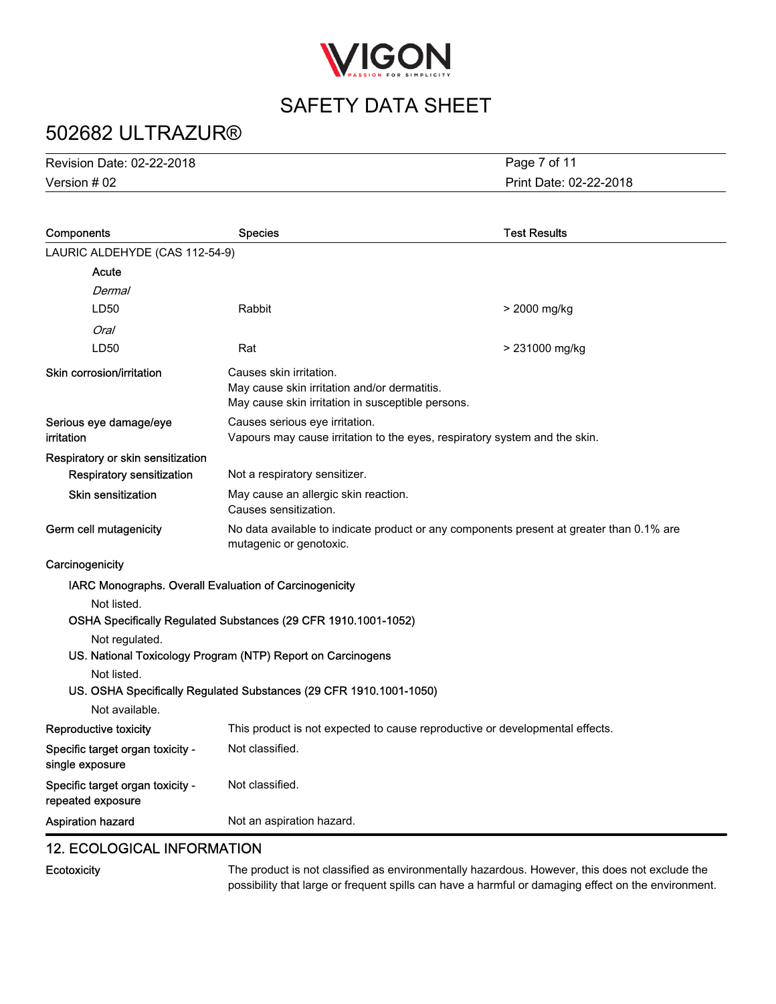

# 502682 ULTRAZUR®

Version # 02 Revision Date: 02-22-2018 Print Date: 02-22-2018 Page 7 of 11

| Components                                            | <b>Species</b>                                                                                                               | <b>Test Results</b>                                                          |  |
|-------------------------------------------------------|------------------------------------------------------------------------------------------------------------------------------|------------------------------------------------------------------------------|--|
| LAURIC ALDEHYDE (CAS 112-54-9)                        |                                                                                                                              |                                                                              |  |
| Acute                                                 |                                                                                                                              |                                                                              |  |
| Dermal                                                |                                                                                                                              |                                                                              |  |
| LD50                                                  | Rabbit                                                                                                                       | > 2000 mg/kg                                                                 |  |
| Oral                                                  |                                                                                                                              |                                                                              |  |
| LD50                                                  | Rat                                                                                                                          | > 231000 mg/kg                                                               |  |
| Skin corrosion/irritation                             | Causes skin irritation.<br>May cause skin irritation and/or dermatitis.<br>May cause skin irritation in susceptible persons. |                                                                              |  |
| Serious eye damage/eye<br>irritation                  | Causes serious eye irritation.<br>Vapours may cause irritation to the eyes, respiratory system and the skin.                 |                                                                              |  |
| Respiratory or skin sensitization                     |                                                                                                                              |                                                                              |  |
| <b>Respiratory sensitization</b>                      | Not a respiratory sensitizer.                                                                                                |                                                                              |  |
| Skin sensitization                                    | May cause an allergic skin reaction.<br>Causes sensitization.                                                                |                                                                              |  |
| Germ cell mutagenicity                                | No data available to indicate product or any components present at greater than 0.1% are<br>mutagenic or genotoxic.          |                                                                              |  |
| Carcinogenicity                                       |                                                                                                                              |                                                                              |  |
|                                                       | IARC Monographs. Overall Evaluation of Carcinogenicity                                                                       |                                                                              |  |
| Not listed.                                           |                                                                                                                              |                                                                              |  |
|                                                       | OSHA Specifically Regulated Substances (29 CFR 1910.1001-1052)                                                               |                                                                              |  |
| Not regulated.                                        |                                                                                                                              |                                                                              |  |
|                                                       | US. National Toxicology Program (NTP) Report on Carcinogens                                                                  |                                                                              |  |
| Not listed.                                           | US. OSHA Specifically Regulated Substances (29 CFR 1910.1001-1050)                                                           |                                                                              |  |
| Not available.                                        |                                                                                                                              |                                                                              |  |
| Reproductive toxicity                                 |                                                                                                                              | This product is not expected to cause reproductive or developmental effects. |  |
| Specific target organ toxicity -                      | Not classified.                                                                                                              |                                                                              |  |
| single exposure                                       |                                                                                                                              |                                                                              |  |
| Specific target organ toxicity -<br>repeated exposure | Not classified.                                                                                                              |                                                                              |  |
| <b>Aspiration hazard</b>                              | Not an aspiration hazard.                                                                                                    |                                                                              |  |

### 12. ECOLOGICAL INFORMATION

**Ecotoxicity** 

The product is not classified as environmentally hazardous. However, this does not exclude the possibility that large or frequent spills can have a harmful or damaging effect on the environment.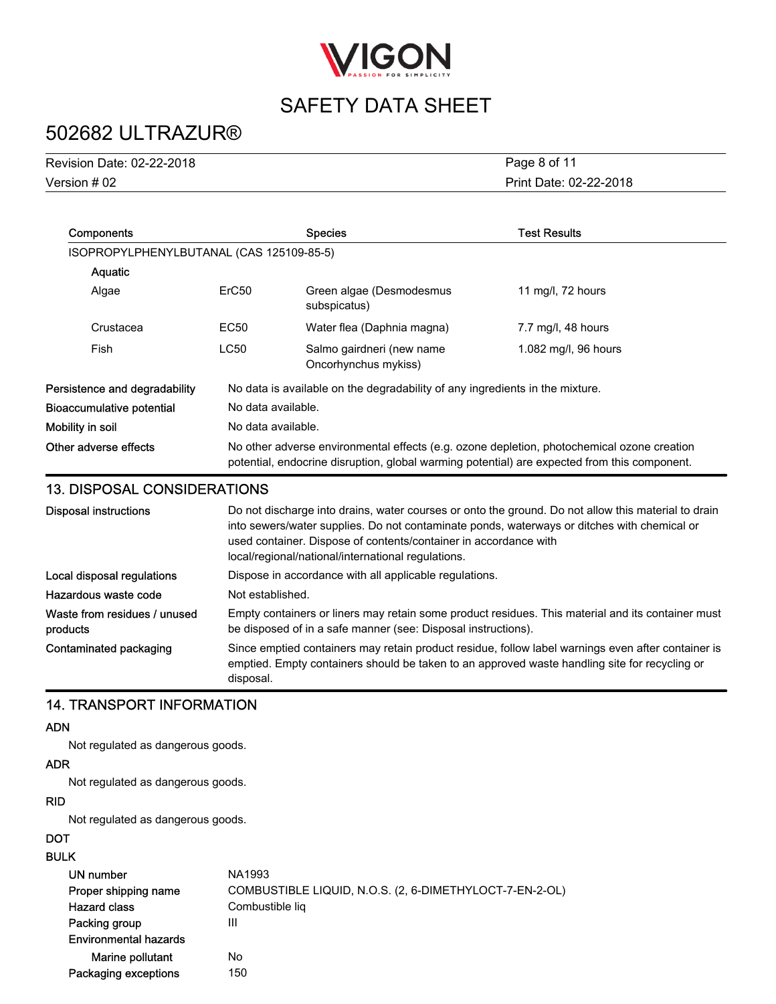

# 502682 ULTRAZUR®

| <b>Revision Date: 02-22-2018</b> | Page 8 of 11           |
|----------------------------------|------------------------|
| Version # 02                     | Print Date: 02-22-2018 |

| <b>Components</b>                        |                                                                                                                                                                                            | <b>Species</b>                                                               | <b>Test Results</b>  |
|------------------------------------------|--------------------------------------------------------------------------------------------------------------------------------------------------------------------------------------------|------------------------------------------------------------------------------|----------------------|
| ISOPROPYLPHENYLBUTANAL (CAS 125109-85-5) |                                                                                                                                                                                            |                                                                              |                      |
| Aquatic                                  |                                                                                                                                                                                            |                                                                              |                      |
| Algae                                    | ErC <sub>50</sub>                                                                                                                                                                          | Green algae (Desmodesmus<br>subspicatus)                                     | 11 mg/l, 72 hours    |
| Crustacea                                | EC <sub>50</sub>                                                                                                                                                                           | Water flea (Daphnia magna)                                                   | 7.7 mg/l, 48 hours   |
| Fish                                     | <b>LC50</b>                                                                                                                                                                                | Salmo gairdneri (new name<br>Oncorhynchus mykiss)                            | 1.082 mg/l, 96 hours |
| Persistence and degradability            |                                                                                                                                                                                            | No data is available on the degradability of any ingredients in the mixture. |                      |
| <b>Bioaccumulative potential</b>         | No data available.                                                                                                                                                                         |                                                                              |                      |
| Mobility in soil                         | No data available.                                                                                                                                                                         |                                                                              |                      |
| Other adverse effects                    | No other adverse environmental effects (e.g. ozone depletion, photochemical ozone creation<br>potential, endocrine disruption, global warming potential) are expected from this component. |                                                                              |                      |

### 13. DISPOSAL CONSIDERATIONS

| <b>Disposal instructions</b>             | Do not discharge into drains, water courses or onto the ground. Do not allow this material to drain<br>into sewers/water supplies. Do not contaminate ponds, waterways or ditches with chemical or<br>used container. Dispose of contents/container in accordance with<br>local/regional/national/international regulations. |
|------------------------------------------|------------------------------------------------------------------------------------------------------------------------------------------------------------------------------------------------------------------------------------------------------------------------------------------------------------------------------|
| Local disposal regulations               | Dispose in accordance with all applicable regulations.                                                                                                                                                                                                                                                                       |
| Hazardous waste code                     | Not established.                                                                                                                                                                                                                                                                                                             |
| Waste from residues / unused<br>products | Empty containers or liners may retain some product residues. This material and its container must<br>be disposed of in a safe manner (see: Disposal instructions).                                                                                                                                                           |
| Contaminated packaging                   | Since emptied containers may retain product residue, follow label warnings even after container is<br>emptied. Empty containers should be taken to an approved waste handling site for recycling or<br>disposal.                                                                                                             |

### 14. TRANSPORT INFORMATION

#### ADN

Not regulated as dangerous goods.

#### ADR

Not regulated as dangerous goods.

#### RID

Not regulated as dangerous goods.

#### **DOT**

#### BULK

| -17                          |                                                         |
|------------------------------|---------------------------------------------------------|
| UN number                    | NA1993                                                  |
| Proper shipping name         | COMBUSTIBLE LIQUID, N.O.S. (2, 6-DIMETHYLOCT-7-EN-2-OL) |
| <b>Hazard class</b>          | Combustible lig                                         |
| Packing group                | Ш                                                       |
| <b>Environmental hazards</b> |                                                         |
| Marine pollutant             | No                                                      |
| Packaging exceptions         | 150                                                     |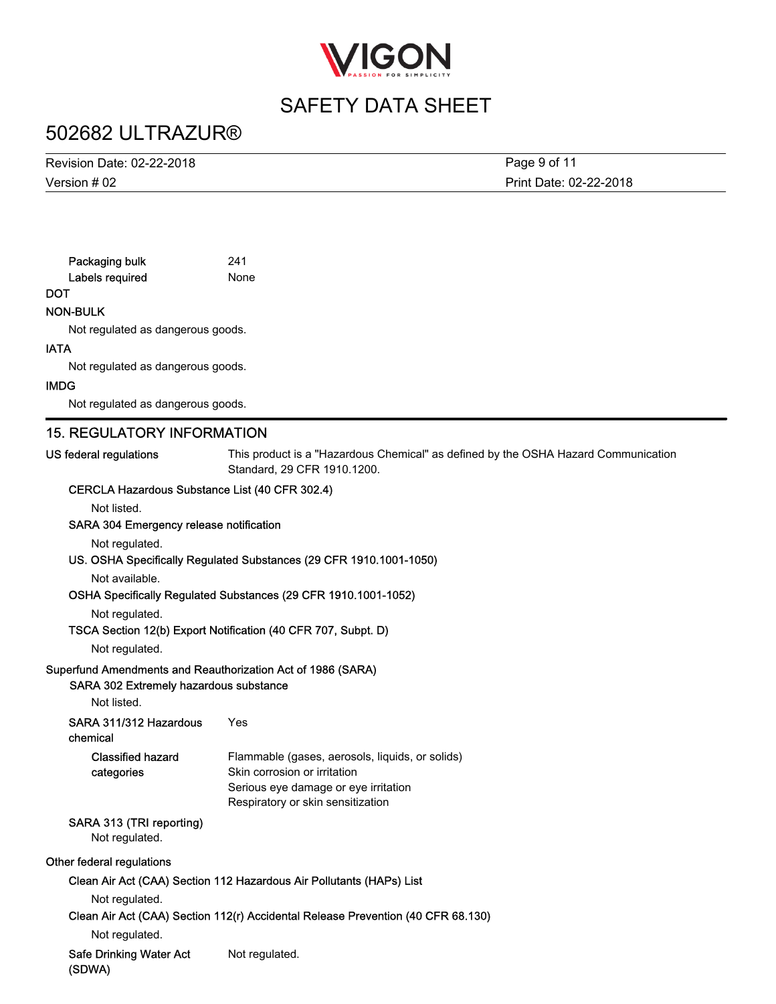

### 502682 ULTRAZUR®

Version # 02 Revision Date: 02-22-2018

Print Date: 02-22-2018 Page 9 of 11

| Packaging bulk  | 241 |
|-----------------|-----|
| Labels required | Nor |

None

### **DOT**

NON-BULK

Not regulated as dangerous goods.

#### IATA

Not regulated as dangerous goods.

#### IMDG

Not regulated as dangerous goods.

### 15. REGULATORY INFORMATION

US federal regulations

This product is a "Hazardous Chemical" as defined by the OSHA Hazard Communication Standard, 29 CFR 1910.1200.

### CERCLA Hazardous Substance List (40 CFR 302.4)

Not listed.

#### SARA 304 Emergency release notification

Not regulated.

#### US. OSHA Specifically Regulated Substances (29 CFR 1910.1001-1050)

Not available.

#### OSHA Specifically Regulated Substances (29 CFR 1910.1001-1052)

Not regulated.

#### TSCA Section 12(b) Export Notification (40 CFR 707, Subpt. D)

Not regulated.

#### Superfund Amendments and Reauthorization Act of 1986 (SARA)

#### SARA 302 Extremely hazardous substance

Not listed.

SARA 311/312 Hazardous Yes

#### chemical

| <b>Classified hazard</b> | Flammable (gases, aerosols, liquids, or solids) |
|--------------------------|-------------------------------------------------|
| categories               | Skin corrosion or irritation                    |
|                          | Serious eye damage or eye irritation            |
|                          | Respiratory or skin sensitization               |

### SARA 313 (TRI reporting)

Not regulated.

#### Other federal regulations

Clean Air Act (CAA) Section 112 Hazardous Air Pollutants (HAPs) List

Not regulated.

#### Clean Air Act (CAA) Section 112(r) Accidental Release Prevention (40 CFR 68.130)

Not regulated.

Safe Drinking Water Act Not regulated. (SDWA)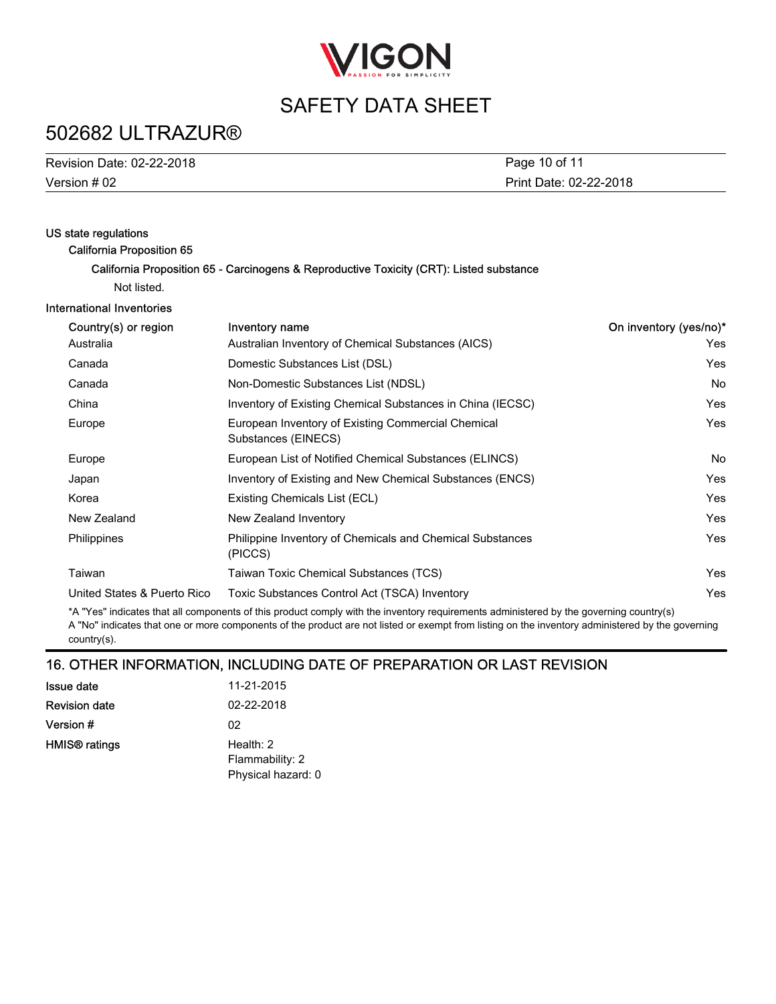

### 502682 ULTRAZUR®

| Revision Date: 02-22-2018 | Page 10 of 11          |
|---------------------------|------------------------|
| Version # 02              | Print Date: 02-22-2018 |

| US state regulations             |                                                                                         |                        |
|----------------------------------|-----------------------------------------------------------------------------------------|------------------------|
| <b>California Proposition 65</b> | California Proposition 65 - Carcinogens & Reproductive Toxicity (CRT): Listed substance |                        |
| Not listed.                      |                                                                                         |                        |
| International Inventories        |                                                                                         |                        |
|                                  |                                                                                         |                        |
| Country(s) or region             | Inventory name                                                                          | On inventory (yes/no)* |
| Australia                        | Australian Inventory of Chemical Substances (AICS)                                      | Yes.                   |
| Canada                           | Domestic Substances List (DSL)                                                          | <b>Yes</b>             |
| Canada                           | Non-Domestic Substances List (NDSL)                                                     | <b>No</b>              |
| China                            | Inventory of Existing Chemical Substances in China (IECSC)                              | <b>Yes</b>             |
| Europe                           | European Inventory of Existing Commercial Chemical<br>Substances (EINECS)               | <b>Yes</b>             |
| Europe                           | European List of Notified Chemical Substances (ELINCS)                                  | No.                    |
| Japan                            | Inventory of Existing and New Chemical Substances (ENCS)                                | <b>Yes</b>             |
| Korea                            | Existing Chemicals List (ECL)                                                           | Yes                    |
| New Zealand                      | New Zealand Inventory                                                                   | <b>Yes</b>             |
| Philippines                      | Philippine Inventory of Chemicals and Chemical Substances<br>(PICCS)                    | <b>Yes</b>             |
| Taiwan                           | Taiwan Toxic Chemical Substances (TCS)                                                  | Yes                    |
| United States & Puerto Rico      | Toxic Substances Control Act (TSCA) Inventory                                           | Yes                    |
|                                  |                                                                                         |                        |

\*A "Yes" indicates that all components of this product comply with the inventory requirements administered by the governing country(s) A "No" indicates that one or more components of the product are not listed or exempt from listing on the inventory administered by the governing country(s).

### 16. OTHER INFORMATION, INCLUDING DATE OF PREPARATION OR LAST REVISION

| <b>Issue date</b>    | 11-21-2015         |
|----------------------|--------------------|
| <b>Revision date</b> | 02-22-2018         |
| Version #            | 02                 |
| HMIS® ratings        | Health: $2$        |
|                      | Flammability: 2    |
|                      | Physical hazard: 0 |